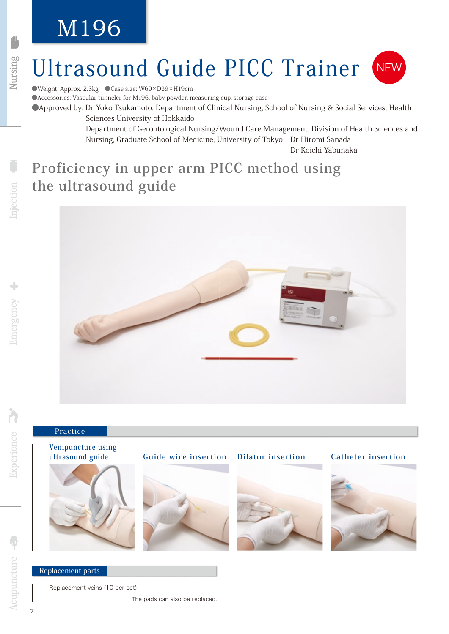# M196

### Ultrasound Guide PICC Trainer NEW

●Weight: Approx. 2.3kg ●Case size: W69×D39×H19cm

●Accessories: Vascular tunneler for M196, baby powder, measuring cup, storage case

●Approved by: Dr Yoko Tsukamoto, Department of Clinical Nursing, School of Nursing & Social Services, Health Sciences University of Hokkaido

> Department of Gerontological Nursing/Wound Care Management, Division of Health Sciences and Nursing, Graduate School of Medicine, University of Tokyo Dr Hiromi Sanada Dr Koichi Yabunaka

## **Proficiency in upper arm PICC method using the ultrasound guide**



#### **Practice**



### Replacement parts

Replacement veins (10 per set)

The pads can also be replaced.

7